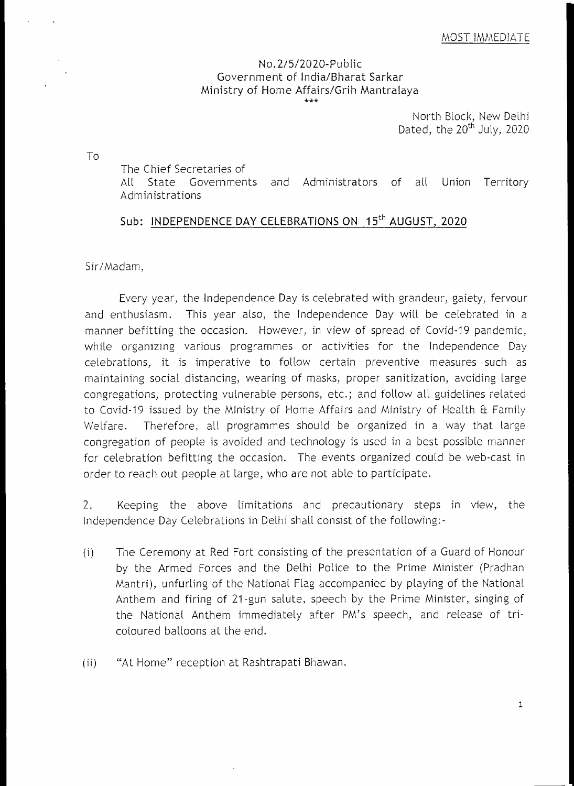#### No.2/5/2020-Public Government of India/Bharat Sarkar Ministry of Home Affairs/Grih Mantralaya \*\*\*

North Block, New Delhi Dated, the  $20^{th}$  July, 2020

To

The Chief Secretaries of Alt State Governments and Administrators of all Union Territory Administrations

## Sub: INDEPENDENCE DAY CELEBRATIONS ON 15<sup>th</sup> AUGUST, 2020

Sir/Madam,

Every year, the Independence Day is celebrated with grandeur, gaiety, fervour and enthusiasm. This year also, the Independence Day will be celebrated in a manner befitting the occasion. However, in view of spread of Covid-19 pandemic, while organizing various programmes or activities for the Independence Day celebrations, it is imperative to follow certain preventive measures such as maintaining social distancing, wearing of masks, proper sanitization, avoiding large congregations, protecting vulnerable persons, etc.; and follow all guidelines related to Covid-19 issued by the Ministry of Home Affairs and Ministry of Health & Family Welfare. Therefore, all programmes should be organized in a way that large congregation of people is avoided and technology is used in a best possible manner for celebration befitting the occasion. The events organized could be web-cast in order to reach out people at large, who are not able to participate.

2. Keeping the above limitations and precautionary steps in view, the Independence Day Celebrations in Delhi shall consist of the following:-

- (i) The Ceremony at Red Fort consisting of the presentation of a Guard of Honour by the Armed Forces and the Delhi Police to the Prime Minister (Pradhan Mantri), unfurling of the National Flag accompanied by playing of the National Anthem and firing of 21-gun salute, speech by the Prime Minister, singing of the National Anthem immediately after PM's speech, and release of tricoloured balloons at the end.
- (ii) "At Home" reception at Rashtrapati Bhawan.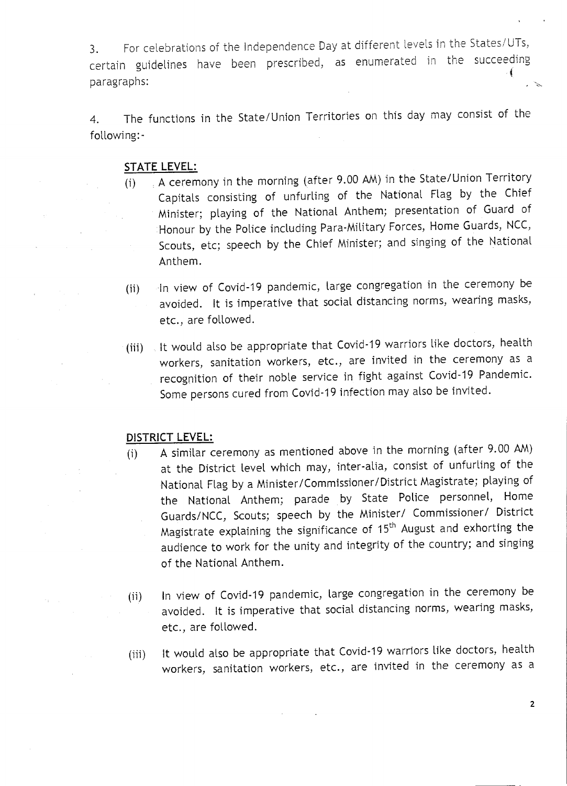3. For celebrations of the Independence Day at different levels in the States/UTs, certain guidelines have been prescribed, as enumerated in the succeeding paragraphs:

4. The functions in the State/Union Territories on this day may consist of the following:-

### STATE LEVEL:

- (i) A ceremony in the morning (after 9.00 AM) in the State/Union Territory Capitals consisting of unfurling of the National Flag by the Chief Minister; playing of the National Anthem; presentation of Guard of Honour by the Police including Para-Military Forces, Home Guards, NCC, Scouts, etc; speech by the Chief Minister; and singing of the National Anthem.
- (ii) In view of Covid-19 pandemic, large congregation in the ceremony be avoided. It is imperative that social distancing norms, wearing masks, etc., are followed.
- (iii) It would also be appropriate that Covid-19 warriors like doctors, health workers, sanitation workers, etc., are invited in the ceremony as a recognition of their noble service in fight against Covid-19 Pandemic. Some persons cured from Covid-19 infection may also be invited.

### DISTRICT LEVEL:

- (i) A similar ceremony as mentioned above in the morning (after 9.00 AM) at the District levet which may, inter-alia, consist of unfurling of the National Flag by a Minister/Commissioner/District Magistrate; playing of the National Anthem; parade by State Police personnel, Home Guards/NCC, Scouts; speech by the Minister/ Commissioner/ District Magistrate explaining the significance of 15<sup>th</sup> August and exhorting the audience to work for the unity and integrity of the country; and singing of the National Anthem.
- (ii) In view of Covid-19 pandemic, large congregation in the ceremony be avoided. It is imperative that social distancing norms, wearing masks, etc., are followed.
- (iii) It would also be appropriate that Covid-19 warriors like doctors, health workers, sanitation workers, etc., are invited in the ceremony as a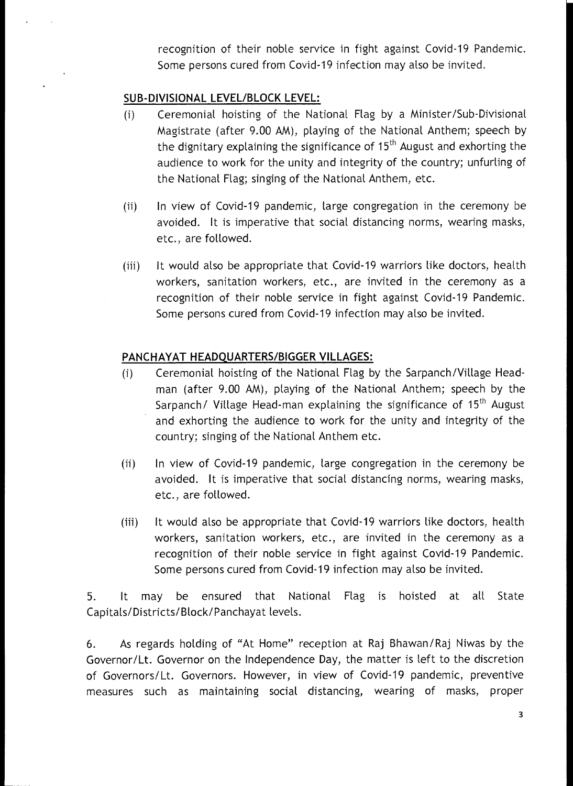recognition of their noble service in fight against Covid-19 Pandemic. Some persons cured from Covid-19 infection may also be invited.

# SUB-DIVISIONAL LEVEL/BLOCK LEVEL:

- (1) Ceremonial hoisting of the National Flag by a Minister/Sub-Divisional Magistrate (after 9.00 AM), playing of the National Anthem; speech by the dignitary explaining the significance of  $15<sup>th</sup>$  August and exhorting the audience to work for the unity and integrity of the country; unfurling of the National Flag; singing of the National Anthem, etc.
- (ii) In view of Covid-19 pandemic, large congregation in the ceremony be avoided. It is imperative that social distancing norms, wearing masks, etc., are followed.
- (iii) It would also be appropriate that Covid-19 warriors like doctors, health workers, sanitation workers, etc., are invited in the ceremony as a recognition of their noble service in fight against Covid-19 Pandemic. Some persons cured from Covid-19 infection may also be invited.

# PANCHAYAT HEADQUARTERS/BIGGER VILLAGES:

- (I) Ceremonial hoisting of the National Flag by the Sarpanch /Village Headman (after 9.00 AM), playing of the National Anthem; speech by the Sarpanch/ Village Head-man explaining the significance of  $15<sup>th</sup>$  August and exhorting the audience to work for the unity and integrity of the country; singing of the National Anthem etc.
- (ii) In view of Covid-19 pandemic, large congregation in the ceremony be avoided. It is imperative that social distancing norms, wearing masks, etc., are followed.
- (iii) It would also be appropriate that Covid-19 warriors like doctors, health workers, sanitation workers, etc., are invited in the ceremony as a recognition of their noble service in fight against Covid-19 Pandemic. Some persons cured from Covid-19 infection may also be invited.

5. It may be ensured that National Flag is hoisted at all State Capitals/Districts/ Block/Panchayat levels.

6. As regards holding of "At Home" reception at Raj Bhawan /Raj Niwas by the Governor/Lt. Governor on the Independence Day, the matter is left to the discretion of Governors/Lt. Governors. However, in view of Covid-19 pandemic, preventive measures such as maintaining social distancing, wearing of masks, proper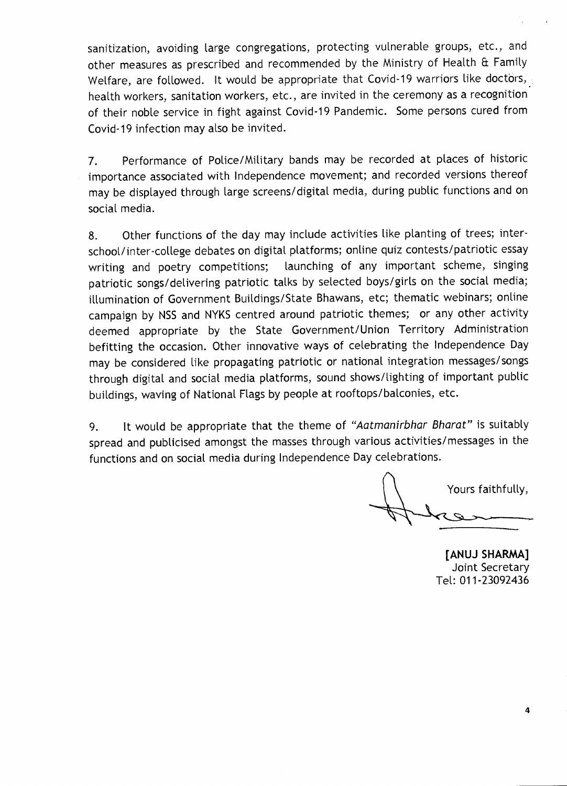sanitization, avoiding large congregations, protecting vulnerable groups, etc., and other measures as prescribed and recommended by the Ministry of Health **a** Family Welfare, are followed. It would be appropriate that Covid-19 warriors like doctors, health workers, sanitation workers, etc., are invited in the ceremony as a recognition of their noble service in fight against Covid-19 Pandemic. Some persons cured from Covid-19 infection may also be invited.

7. Performance of Police/Military bands may be recorded at places of historic importance associated with Independence movement; and recorded versions thereof may be displayed through large screens/digital media, during public functions and on social media.

8. Other functions of the day may include activities like planting of trees; interschool/inter-college debates on digital platforms; online quiz contests/patriotic essay writing and poetry competitions; launching of any important scheme, singing patriotic songs/delivering patriotic talks by selected boys/girls on the social media; illumination of Government Buildings/State Bhawans, etc; thematic webinars; online campaign by NSS and NYKS centred around patriotic themes; or any other activity deemed appropriate by the State Government/Union Territory Administration befitting the occasion. Other innovative ways of celebrating the Independence Day may be considered like propagating patriotic or national integration messages/songs through digital and social media platforms, sound shows/lighting of important public buildings, waving of National Flags by people at rooftops/balconies, etc.

9. It would be appropriate that the theme of *"Aatmanirbhar Bharat"* is suitably spread and publicised amongst the masses through various activities/messages in the functions and on social media during Independence Day celebrations.

Yours faithfully,

**[ANUJ SHARMA]**  Joint Secretary Tel: 011-23092436